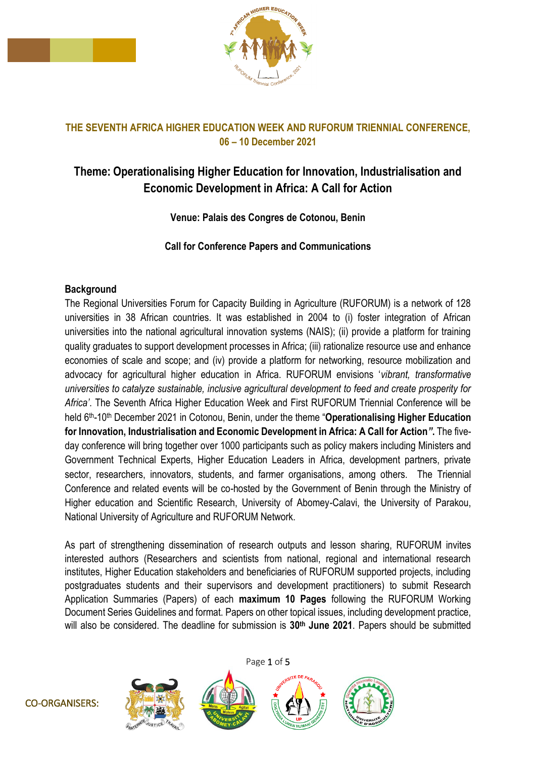

# **THE SEVENTH AFRICA HIGHER EDUCATION WEEK AND RUFORUM TRIENNIAL CONFERENCE, 06 – 10 December 2021**

# **Theme: Operationalising Higher Education for Innovation, Industrialisation and Economic Development in Africa: A Call for Action**

**Venue: Palais des Congres de Cotonou, Benin**

**Call for Conference Papers and Communications**

### **Background**

The Regional Universities Forum for Capacity Building in Agriculture (RUFORUM) is a network of 128 universities in 38 African countries. It was established in 2004 to (i) foster integration of African universities into the national agricultural innovation systems (NAIS); (ii) provide a platform for training quality graduates to support development processes in Africa; (iii) rationalize resource use and enhance economies of scale and scope; and (iv) provide a platform for networking, resource mobilization and advocacy for agricultural higher education in Africa. RUFORUM envisions '*vibrant, transformative universities to catalyze sustainable, inclusive agricultural development to feed and create prosperity for Africa'*. The Seventh Africa Higher Education Week and First RUFORUM Triennial Conference will be held 6th-10th December 2021 in Cotonou, Benin, under the theme "**Operationalising Higher Education for Innovation, Industrialisation and Economic Development in Africa: A Call for Action***"***.** The fiveday conference will bring together over 1000 participants such as policy makers including Ministers and Government Technical Experts, Higher Education Leaders in Africa, development partners, private sector, researchers, innovators, students, and farmer organisations, among others. The Triennial Conference and related events will be co-hosted by the Government of Benin through the Ministry of Higher education and Scientific Research, University of Abomey-Calavi, the University of Parakou, National University of Agriculture and RUFORUM Network.

As part of strengthening dissemination of research outputs and lesson sharing, RUFORUM invites interested authors (Researchers and scientists from national, regional and international research institutes, Higher Education stakeholders and beneficiaries of RUFORUM supported projects, including postgraduates students and their supervisors and development practitioners) to submit Research Application Summaries (Papers) of each **maximum 10 Pages** following the RUFORUM Working Document Series Guidelines and format. Papers on other topical issues, including development practice, will also be considered. The deadline for submission is **30th June 2021**. Papers should be submitted

Page 1 of 5





CO-ORGANISERS: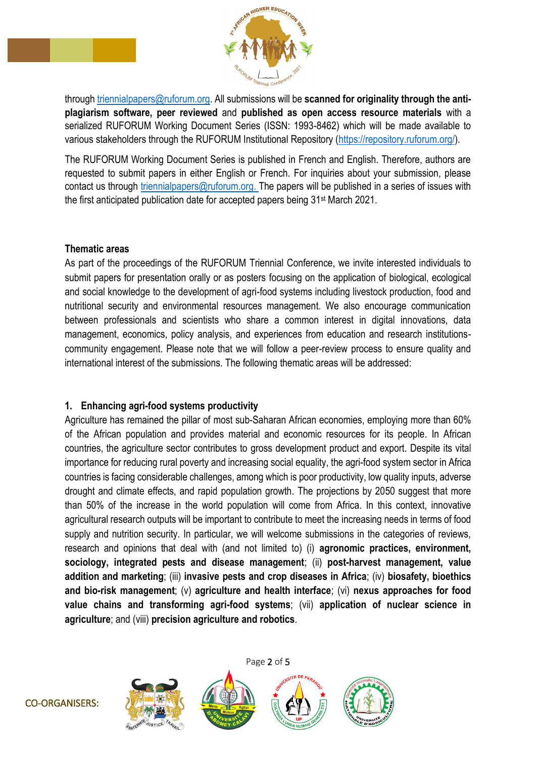

through [triennialpapers@ruforum.org.](mailto:triennialpapers@ruforum.org) All submissions will be **scanned for originality through the antiplagiarism software, peer reviewed** and **published as open access resource materials** with a serialized RUFORUM Working Document Series (ISSN: 1993-8462) which will be made available to various stakeholders through the RUFORUM Institutional Repository [\(https://repository.ruforum.org/\)](https://repository.ruforum.org/).

The RUFORUM Working Document Series is published in French and English. Therefore, authors are requested to submit papers in either English or French. For inquiries about your submission, please contact us through [triennialpapers@ruforum.org.](mailto:triennialpapers@ruforum.org) The papers will be published in a series of issues with the first anticipated publication date for accepted papers being 31st March 2021.

#### **Thematic areas**

As part of the proceedings of the RUFORUM Triennial Conference, we invite interested individuals to submit papers for presentation orally or as posters focusing on the application of biological, ecological and social knowledge to the development of agri-food systems including livestock production, food and nutritional security and environmental resources management. We also encourage communication between professionals and scientists who share a common interest in digital innovations, data management, economics, policy analysis, and experiences from education and research institutionscommunity engagement. Please note that we will follow a peer-review process to ensure quality and international interest of the submissions. The following thematic areas will be addressed:

#### **1. Enhancing agri-food systems productivity**

Agriculture has remained the pillar of most sub-Saharan African economies, employing more than 60% of the African population and provides material and economic resources for its people. In African countries, the agriculture sector contributes to gross development product and export. Despite its vital importance for reducing rural poverty and increasing social equality, the agri-food system sector in Africa countries is facing considerable challenges, among which is poor productivity, low quality inputs, adverse drought and climate effects, and rapid population growth. The projections by 2050 suggest that more than 50% of the increase in the world population will come from Africa. In this context, innovative agricultural research outputs will be important to contribute to meet the increasing needs in terms of food supply and nutrition security. In particular, we will welcome submissions in the categories of reviews, research and opinions that deal with (and not limited to) (i) **agronomic practices, environment, sociology, integrated pests and disease management**; (ii) **post-harvest management, value addition and marketing**; (iii) **invasive pests and crop diseases in Africa**; (iv) **biosafety, bioethics and bio-risk management**; (v) **agriculture and health interface**; (vi) **nexus approaches for food value chains and transforming agri-food systems**; (vii) **application of nuclear science in agriculture**; and (viii) **precision agriculture and robotics**.

Page 2 of 5

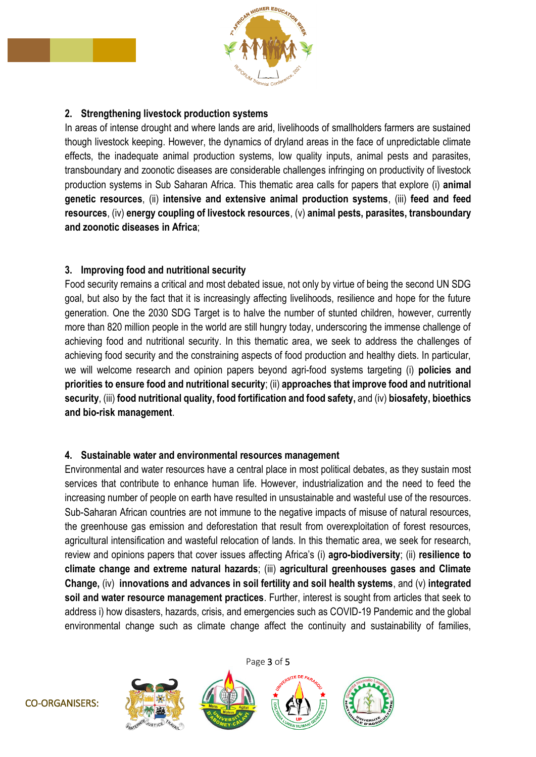

### **2. Strengthening livestock production systems**

In areas of intense drought and where lands are arid, livelihoods of smallholders farmers are sustained though livestock keeping. However, the dynamics of dryland areas in the face of unpredictable climate effects, the inadequate animal production systems, low quality inputs, animal pests and parasites, transboundary and zoonotic diseases are considerable challenges infringing on productivity of livestock production systems in Sub Saharan Africa. This thematic area calls for papers that explore (i) **animal genetic resources**, (ii) **intensive and extensive animal production systems**, (iii) **feed and feed resources**, (iv) **energy coupling of livestock resources**, (v) **animal pests, parasites, transboundary and zoonotic diseases in Africa**;

### **3. Improving food and nutritional security**

Food security remains a critical and most debated issue, not only by virtue of being the second UN SDG goal, but also by the fact that it is increasingly affecting livelihoods, resilience and hope for the future generation. One the 2030 SDG Target is to halve the number of stunted children, however, currently more than 820 million people in the world are still hungry today, underscoring the immense challenge of achieving food and nutritional security. In this thematic area, we seek to address the challenges of achieving food security and the constraining aspects of food production and healthy diets. In particular, we will welcome research and opinion papers beyond agri-food systems targeting (i) **policies and priorities to ensure food and nutritional security**; (ii) **approaches that improve food and nutritional security**, (iii) **food nutritional quality, food fortification and food safety,** and (iv) **biosafety, bioethics and bio-risk management**.

#### **4. Sustainable water and environmental resources management**

Environmental and water resources have a central place in most political debates, as they sustain most services that contribute to enhance human life. However, industrialization and the need to feed the increasing number of people on earth have resulted in unsustainable and wasteful use of the resources. Sub-Saharan African countries are not immune to the negative impacts of misuse of natural resources, the greenhouse gas emission and deforestation that result from overexploitation of forest resources, agricultural intensification and wasteful relocation of lands. In this thematic area, we seek for research, review and opinions papers that cover issues affecting Africa's (i) **agro-biodiversity**; (ii) **resilience to climate change and extreme natural hazards**; (iii) **agricultural greenhouses gases and Climate Change,** (iv) **innovations and advances in soil fertility and soil health systems**, and (v) **integrated soil and water resource management practices**. Further, interest is sought from articles that seek to address i) how disasters, hazards, crisis, and emergencies such as COVID-19 Pandemic and the global environmental change such as climate change affect the continuity and sustainability of families,

Page 3 of 5

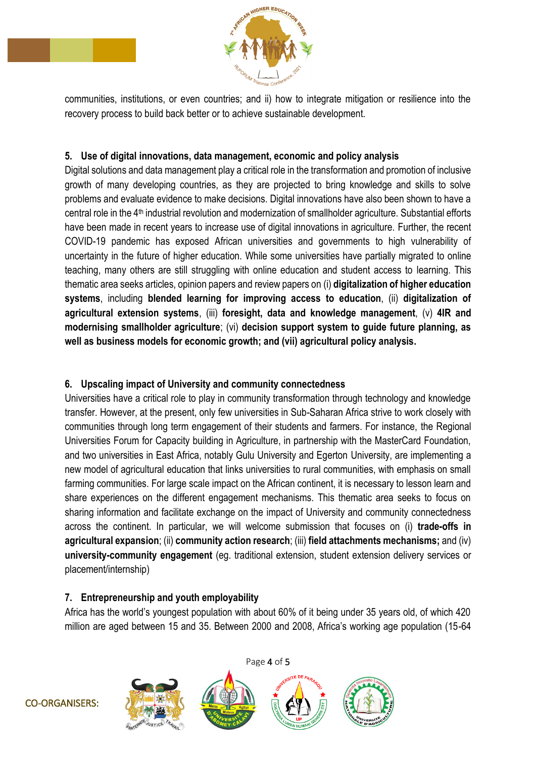

communities, institutions, or even countries; and ii) how to integrate mitigation or resilience into the recovery process to build back better or to achieve sustainable development.

### **5. Use of digital innovations, data management, economic and policy analysis**

Digital solutions and data management play a critical role in the transformation and promotion of inclusive growth of many developing countries, as they are projected to bring knowledge and skills to solve problems and evaluate evidence to make decisions. Digital innovations have also been shown to have a central role in the 4th industrial revolution and modernization of smallholder agriculture. Substantial efforts have been made in recent years to increase use of digital innovations in agriculture. Further, the recent COVID-19 pandemic has exposed African universities and governments to high vulnerability of uncertainty in the future of higher education. While some universities have partially migrated to online teaching, many others are still struggling with online education and student access to learning. This thematic area seeks articles, opinion papers and review papers on (i) **digitalization of higher education systems**, including **blended learning for improving access to education**, (ii) **digitalization of agricultural extension systems**, (iii) **foresight, data and knowledge management**, (v) **4IR and modernising smallholder agriculture**; (vi) **decision support system to guide future planning, as well as business models for economic growth; and (vii) agricultural policy analysis.**

# **6. Upscaling impact of University and community connectedness**

Universities have a critical role to play in community transformation through technology and knowledge transfer. However, at the present, only few universities in Sub-Saharan Africa strive to work closely with communities through long term engagement of their students and farmers. For instance, the Regional Universities Forum for Capacity building in Agriculture, in partnership with the MasterCard Foundation, and two universities in East Africa, notably Gulu University and Egerton University, are implementing a new model of agricultural education that links universities to rural communities, with emphasis on small farming communities. For large scale impact on the African continent, it is necessary to lesson learn and share experiences on the different engagement mechanisms. This thematic area seeks to focus on sharing information and facilitate exchange on the impact of University and community connectedness across the continent. In particular, we will welcome submission that focuses on (i) **trade-offs in agricultural expansion**; (ii) **community action research**; (iii) **field attachments mechanisms;** and (iv) **university-community engagement** (eg. traditional extension, student extension delivery services or placement/internship)

# **7. Entrepreneurship and youth employability**

Africa has the world's youngest population with about 60% of it being under 35 years old, of which 420 million are aged between 15 and 35. Between 2000 and 2008, Africa's working age population (15-64

Page 4 of 5